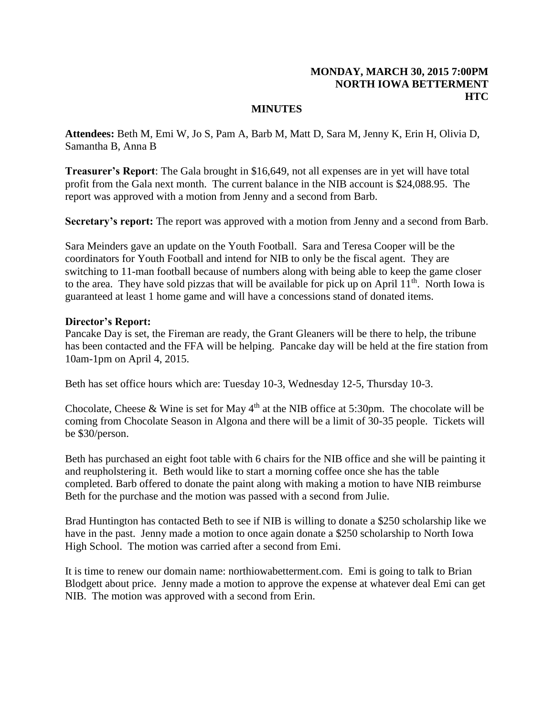# **MONDAY, MARCH 30, 2015 7:00PM NORTH IOWA BETTERMENT HTC**

### **MINUTES**

**Attendees:** Beth M, Emi W, Jo S, Pam A, Barb M, Matt D, Sara M, Jenny K, Erin H, Olivia D, Samantha B, Anna B

**Treasurer's Report**: The Gala brought in \$16,649, not all expenses are in yet will have total profit from the Gala next month. The current balance in the NIB account is \$24,088.95. The report was approved with a motion from Jenny and a second from Barb.

**Secretary's report:** The report was approved with a motion from Jenny and a second from Barb.

Sara Meinders gave an update on the Youth Football. Sara and Teresa Cooper will be the coordinators for Youth Football and intend for NIB to only be the fiscal agent. They are switching to 11-man football because of numbers along with being able to keep the game closer to the area. They have sold pizzas that will be available for pick up on April  $11<sup>th</sup>$ . North Iowa is guaranteed at least 1 home game and will have a concessions stand of donated items.

#### **Director's Report:**

Pancake Day is set, the Fireman are ready, the Grant Gleaners will be there to help, the tribune has been contacted and the FFA will be helping. Pancake day will be held at the fire station from 10am-1pm on April 4, 2015.

Beth has set office hours which are: Tuesday 10-3, Wednesday 12-5, Thursday 10-3.

Chocolate, Cheese & Wine is set for May  $4<sup>th</sup>$  at the NIB office at 5:30pm. The chocolate will be coming from Chocolate Season in Algona and there will be a limit of 30-35 people. Tickets will be \$30/person.

Beth has purchased an eight foot table with 6 chairs for the NIB office and she will be painting it and reupholstering it. Beth would like to start a morning coffee once she has the table completed. Barb offered to donate the paint along with making a motion to have NIB reimburse Beth for the purchase and the motion was passed with a second from Julie.

Brad Huntington has contacted Beth to see if NIB is willing to donate a \$250 scholarship like we have in the past. Jenny made a motion to once again donate a \$250 scholarship to North Iowa High School. The motion was carried after a second from Emi.

It is time to renew our domain name: northiowabetterment.com. Emi is going to talk to Brian Blodgett about price. Jenny made a motion to approve the expense at whatever deal Emi can get NIB. The motion was approved with a second from Erin.